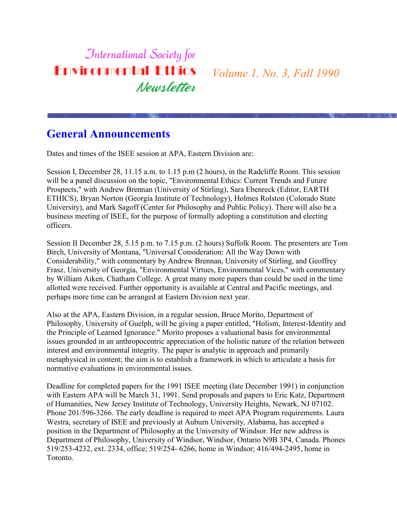# **International Society for Environmental Ethics** Newsletter

*Volume 1, No. 3, Fall 1990*

#### **General Announcements**

Dates and times of the ISEE session at APA, Eastern Division are:

Session I, December 28, 11.15 a.m. to 1.15 p.m (2 hours), in the Radcliffe Room. This session will be a panel discussion on the topic, "Environmental Ethics: Current Trends and Future Prospects," with Andrew Brennan (University of Stirling), Sara Ebenreck (Editor, EARTH ETHICS), Bryan Norton (Georgia Institute of Technology), Holmes Rolston (Colorado State University), and Mark Sagoff (Center for Philosophy and Public Policy). There will also be a business meeting of ISEE, for the purpose of formally adopting a constitution and electing officers.

Session II December 28, 5.15 p.m. to 7.15 p.m. (2 hours) Suffolk Room. The presenters are Tom Birch, University of Montana, "Universal Consideration: All the Way Down with Considerability," with commentary by Andrew Brennan, University of Stirling, and Geoffrey Frasz, University of Georgia, "Environmental Virtues, Environmental Vices," with commentary by William Aiken, Chatham College. A great many more papers than could be used in the time allotted were received. Further opportunity is available at Central and Pacific meetings, and perhaps more time can be arranged at Eastern Division next year.

Also at the APA, Eastern Division, in a regular session, Bruce Morito, Department of Philosophy, University of Guelph, will be giving a paper entitled, "Holism, Interest-Identity and the Principle of Learned Ignorance." Morito proposes a valuational basis for environmental issues grounded in an anthropocentric appreciation of the holistic nature of the relation between interest and environmental integrity. The paper is analytic in approach and primarily metaphysical in content; the aim is to establish a framework in which to articulate a basis for normative evaluations in environmental issues.

Deadline for completed papers for the 1991 ISEE meeting (late December 1991) in conjunction with Eastern APA will be March 31, 1991. Send proposals and papers to Eric Katz, Department of Humanities, New Jersey Institute of Technology, University Heights, Newark, NJ 07102. Phone 201/596-3266. The early deadline is required to meet APA Program requirements. Laura Westra, secretary of ISEE and previously at Auburn University, Alabama, has accepted a position in the Department of Philosophy at the University of Windsor. Her new address is Department of Philosophy, University of Windsor, Windsor, Ontario N9B 3P4, Canada. Phones 519/253-4232, ext. 2334, office; 519/254- 6266, home in Windsor; 416/494-2495, home in Toronto.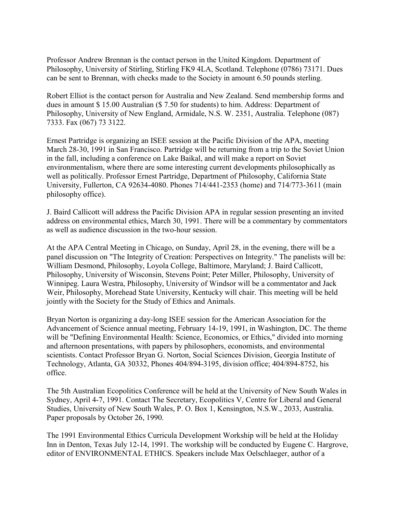Professor Andrew Brennan is the contact person in the United Kingdom. Department of Philosophy, University of Stirling, Stirling FK9 4LA, Scotland. Telephone (0786) 73171. Dues can be sent to Brennan, with checks made to the Society in amount 6.50 pounds sterling.

Robert Elliot is the contact person for Australia and New Zealand. Send membership forms and dues in amount \$ 15.00 Australian (\$ 7.50 for students) to him. Address: Department of Philosophy, University of New England, Armidale, N.S. W. 2351, Australia. Telephone (087) 7333. Fax (067) 73 3122.

Ernest Partridge is organizing an ISEE session at the Pacific Division of the APA, meeting March 28-30, 1991 in San Francisco. Partridge will be returning from a trip to the Soviet Union in the fall, including a conference on Lake Baikal, and will make a report on Soviet environmentalism, where there are some interesting current developments philosophically as well as politically. Professor Ernest Partridge, Department of Philosophy, California State University, Fullerton, CA 92634-4080. Phones 714/441-2353 (home) and 714/773-3611 (main philosophy office).

J. Baird Callicott will address the Pacific Division APA in regular session presenting an invited address on environmental ethics, March 30, 1991. There will be a commentary by commentators as well as audience discussion in the two-hour session.

At the APA Central Meeting in Chicago, on Sunday, April 28, in the evening, there will be a panel discussion on "The Integrity of Creation: Perspectives on Integrity." The panelists will be: William Desmond, Philosophy, Loyola College, Baltimore, Maryland; J. Baird Callicott, Philosophy, University of Wisconsin, Stevens Point; Peter Miller, Philosophy, University of Winnipeg. Laura Westra, Philosophy, University of Windsor will be a commentator and Jack Weir, Philosophy, Morehead State University, Kentucky will chair. This meeting will be held jointly with the Society for the Study of Ethics and Animals.

Bryan Norton is organizing a day-long ISEE session for the American Association for the Advancement of Science annual meeting, February 14-19, 1991, in Washington, DC. The theme will be "Defining Environmental Health: Science, Economics, or Ethics," divided into morning and afternoon presentations, with papers by philosophers, economists, and environmental scientists. Contact Professor Bryan G. Norton, Social Sciences Division, Georgia Institute of Technology, Atlanta, GA 30332, Phones 404/894-3195, division office; 404/894-8752, his office.

The 5th Australian Ecopolitics Conference will be held at the University of New South Wales in Sydney, April 4-7, 1991. Contact The Secretary, Ecopolitics V, Centre for Liberal and General Studies, University of New South Wales, P. O. Box 1, Kensington, N.S.W., 2033, Australia. Paper proposals by October 26, 1990.

The 1991 Environmental Ethics Curricula Development Workship will be held at the Holiday Inn in Denton, Texas July 12-14, 1991. The workship will be conducted by Eugene C. Hargrove, editor of ENVIRONMENTAL ETHICS. Speakers include Max Oelschlaeger, author of a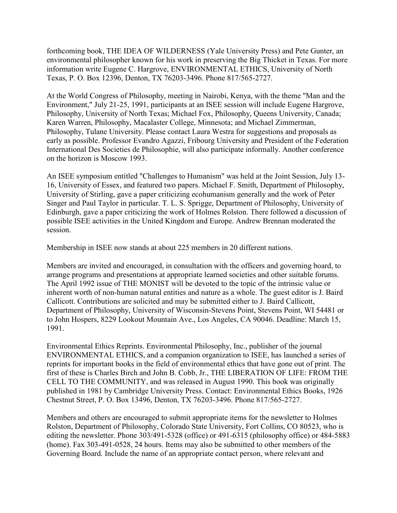forthcoming book, THE IDEA OF WILDERNESS (Yale University Press) and Pete Gunter, an environmental philosopher known for his work in preserving the Big Thicket in Texas. For more information write Eugene C. Hargrove, ENVIRONMENTAL ETHICS, University of North Texas, P. O. Box 12396, Denton, TX 76203-3496. Phone 817/565-2727.

At the World Congress of Philosophy, meeting in Nairobi, Kenya, with the theme "Man and the Environment," July 21-25, 1991, participants at an ISEE session will include Eugene Hargrove, Philosophy, University of North Texas; Michael Fox, Philosophy, Queens University, Canada; Karen Warren, Philosophy, Macalaster College, Minnesota; and Michael Zimmerman, Philosophy, Tulane University. Please contact Laura Westra for suggestions and proposals as early as possible. Professor Evandro Agazzi, Fribourg University and President of the Federation International Des Societies de Philosophie, will also participate informally. Another conference on the horizon is Moscow 1993.

An ISEE symposium entitled "Challenges to Humanism" was held at the Joint Session, July 13- 16, University of Essex, and featured two papers. Michael F. Smith, Department of Philosophy, University of Stirling, gave a paper criticizing ecohumanism generally and the work of Peter Singer and Paul Taylor in particular. T. L. S. Sprigge, Department of Philosophy, University of Edinburgh, gave a paper criticizing the work of Holmes Rolston. There followed a discussion of possible ISEE activities in the United Kingdom and Europe. Andrew Brennan moderated the session.

Membership in ISEE now stands at about 225 members in 20 different nations.

Members are invited and encouraged, in consultation with the officers and governing board, to arrange programs and presentations at appropriate learned societies and other suitable forums. The April 1992 issue of THE MONIST will be devoted to the topic of the intrinsic value or inherent worth of non-human natural entities and nature as a whole. The guest editor is J. Baird Callicott. Contributions are solicited and may be submitted either to J. Baird Callicott, Department of Philosophy, University of Wisconsin-Stevens Point, Stevens Point, WI 54481 or to John Hospers, 8229 Lookout Mountain Ave., Los Angeles, CA 90046. Deadline: March 15, 1991.

Environmental Ethics Reprints. Environmental Philosophy, Inc., publisher of the journal ENVIRONMENTAL ETHICS, and a companion organization to ISEE, has launched a series of reprints for important books in the field of environmental ethics that have gone out of print. The first of these is Charles Birch and John B. Cobb, Jr., THE LIBERATION OF LIFE: FROM THE CELL TO THE COMMUNITY, and was released in August 1990. This book was originally published in 1981 by Cambridge University Press. Contact: Environmental Ethics Books, 1926 Chestnut Street, P. O. Box 13496, Denton, TX 76203-3496. Phone 817/565-2727.

Members and others are encouraged to submit appropriate items for the newsletter to Holmes Rolston, Department of Philosophy, Colorado State University, Fort Collins, CO 80523, who is editing the newsletter. Phone 303/491-5328 (office) or 491-6315 (philosophy office) or 484-5883 (home). Fax 303-491-0528, 24 hours. Items may also be submitted to other members of the Governing Board. Include the name of an appropriate contact person, where relevant and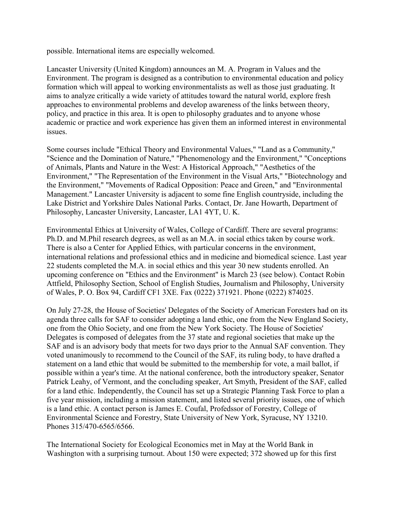possible. International items are especially welcomed.

Lancaster University (United Kingdom) announces an M. A. Program in Values and the Environment. The program is designed as a contribution to environmental education and policy formation which will appeal to working environmentalists as well as those just graduating. It aims to analyze critically a wide variety of attitudes toward the natural world, explore fresh approaches to environmental problems and develop awareness of the links between theory, policy, and practice in this area. It is open to philosophy graduates and to anyone whose academic or practice and work experience has given them an informed interest in environmental issues.

Some courses include "Ethical Theory and Environmental Values," "Land as a Community," "Science and the Domination of Nature," "Phenomenology and the Environment," "Conceptions of Animals, Plants and Nature in the West: A Historical Approach," "Aesthetics of the Environment," "The Representation of the Environment in the Visual Arts," "Biotechnology and the Environment," "Movements of Radical Opposition: Peace and Green," and "Environmental Management." Lancaster University is adjacent to some fine English countryside, including the Lake District and Yorkshire Dales National Parks. Contact, Dr. Jane Howarth, Department of Philosophy, Lancaster University, Lancaster, LA1 4YT, U. K.

Environmental Ethics at University of Wales, College of Cardiff. There are several programs: Ph.D. and M.Phil research degrees, as well as an M.A. in social ethics taken by course work. There is also a Center for Applied Ethics, with particular concerns in the environment, international relations and professional ethics and in medicine and biomedical science. Last year 22 students completed the M.A. in social ethics and this year 30 new students enrolled. An upcoming conference on "Ethics and the Environment" is March 23 (see below). Contact Robin Attfield, Philosophy Section, School of English Studies, Journalism and Philosophy, University of Wales, P. O. Box 94, Cardiff CF1 3XE. Fax (0222) 371921. Phone (0222) 874025.

On July 27-28, the House of Societies' Delegates of the Society of American Foresters had on its agenda three calls for SAF to consider adopting a land ethic, one from the New England Society, one from the Ohio Society, and one from the New York Society. The House of Societies' Delegates is composed of delegates from the 37 state and regional societies that make up the SAF and is an advisory body that meets for two days prior to the Annual SAF convention. They voted unanimously to recommend to the Council of the SAF, its ruling body, to have drafted a statement on a land ethic that would be submitted to the membership for vote, a mail ballot, if possible within a year's time. At the national conference, both the introductory speaker, Senator Patrick Leahy, of Vermont, and the concluding speaker, Art Smyth, President of the SAF, called for a land ethic. Independently, the Council has set up a Strategic Planning Task Force to plan a five year mission, including a mission statement, and listed several priority issues, one of which is a land ethic. A contact person is James E. Coufal, Profedssor of Forestry, College of Environmental Science and Forestry, State University of New York, Syracuse, NY 13210. Phones 315/470-6565/6566.

The International Society for Ecological Economics met in May at the World Bank in Washington with a surprising turnout. About 150 were expected; 372 showed up for this first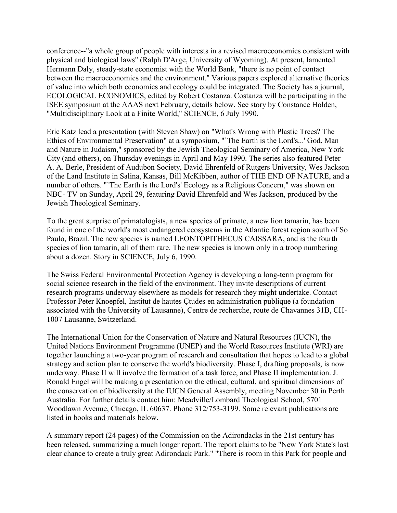conference--"a whole group of people with interests in a revised macroeconomics consistent with physical and biological laws" (Ralph D'Arge, University of Wyoming). At present, lamented Hermann Daly, steady-state economist with the World Bank, "there is no point of contact between the macroeconomics and the environment." Various papers explored alternative theories of value into which both economics and ecology could be integrated. The Society has a journal, ECOLOGICAL ECONOMICS, edited by Robert Costanza. Costanza will be participating in the ISEE symposium at the AAAS next February, details below. See story by Constance Holden, "Multidisciplinary Look at a Finite World," SCIENCE, 6 July 1990.

Eric Katz lead a presentation (with Steven Shaw) on "What's Wrong with Plastic Trees? The Ethics of Environmental Preservation" at a symposium, "`The Earth is the Lord's...' God, Man and Nature in Judaism," sponsored by the Jewish Theological Seminary of America, New York City (and others), on Thursday evenings in April and May 1990. The series also featured Peter A. A. Berle, President of Audubon Society, David Ehrenfeld of Rutgers University, Wes Jackson of the Land Institute in Salina, Kansas, Bill McKibben, author of THE END OF NATURE, and a number of others. "`The Earth is the Lord's' Ecology as a Religious Concern," was shown on NBC- TV on Sunday, April 29, featuring David Ehrenfeld and Wes Jackson, produced by the Jewish Theological Seminary.

To the great surprise of primatologists, a new species of primate, a new lion tamarin, has been found in one of the world's most endangered ecosystems in the Atlantic forest region south of So Paulo, Brazil. The new species is named LEONTOPITHECUS CAISSARA, and is the fourth species of lion tamarin, all of them rare. The new species is known only in a troop numbering about a dozen. Story in SCIENCE, July 6, 1990.

The Swiss Federal Environmental Protection Agency is developing a long-term program for social science research in the field of the environment. They invite descriptions of current research programs underway elsewhere as models for research they might undertake. Contact Professor Peter Knoepfel, Institut de hautes Çtudes en administration publique (a foundation associated with the University of Lausanne), Centre de recherche, route de Chavannes 31B, CH-1007 Lausanne, Switzerland.

The International Union for the Conservation of Nature and Natural Resources (IUCN), the United Nations Environment Programme (UNEP) and the World Resources Institute (WRI) are together launching a two-year program of research and consultation that hopes to lead to a global strategy and action plan to conserve the world's biodiversity. Phase I, drafting proposals, is now underway. Phase II will involve the formation of a task force, and Phase II implementation. J. Ronald Engel will be making a presentation on the ethical, cultural, and spiritual dimensions of the conservation of biodiversity at the IUCN General Assembly, meeting November 30 in Perth Australia. For further details contact him: Meadville/Lombard Theological School, 5701 Woodlawn Avenue, Chicago, IL 60637. Phone 312/753-3199. Some relevant publications are listed in books and materials below.

A summary report (24 pages) of the Commission on the Adirondacks in the 21st century has been released, summarizing a much longer report. The report claims to be "New York State's last clear chance to create a truly great Adirondack Park." "There is room in this Park for people and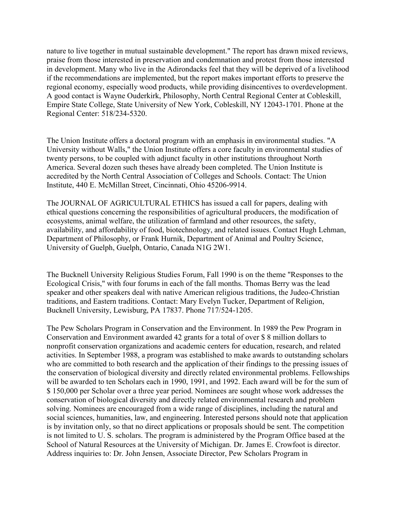nature to live together in mutual sustainable development." The report has drawn mixed reviews, praise from those interested in preservation and condemnation and protest from those interested in development. Many who live in the Adirondacks feel that they will be deprived of a livelihood if the recommendations are implemented, but the report makes important efforts to preserve the regional economy, especially wood products, while providing disincentives to overdevelopment. A good contact is Wayne Ouderkirk, Philosophy, North Central Regional Center at Cobleskill, Empire State College, State University of New York, Cobleskill, NY 12043-1701. Phone at the Regional Center: 518/234-5320.

The Union Institute offers a doctoral program with an emphasis in environmental studies. "A University without Walls," the Union Institute offers a core faculty in environmental studies of twenty persons, to be coupled with adjunct faculty in other institutions throughout North America. Several dozen such theses have already been completed. The Union Institute is accredited by the North Central Association of Colleges and Schools. Contact: The Union Institute, 440 E. McMillan Street, Cincinnati, Ohio 45206-9914.

The JOURNAL OF AGRICULTURAL ETHICS has issued a call for papers, dealing with ethical questions concerning the responsibilities of agricultural producers, the modification of ecosystems, animal welfare, the utilization of farmland and other resources, the safety, availability, and affordability of food, biotechnology, and related issues. Contact Hugh Lehman, Department of Philosophy, or Frank Hurnik, Department of Animal and Poultry Science, University of Guelph, Guelph, Ontario, Canada N1G 2W1.

The Bucknell University Religious Studies Forum, Fall 1990 is on the theme "Responses to the Ecological Crisis," with four forums in each of the fall months. Thomas Berry was the lead speaker and other speakers deal with native American religious traditions, the Judeo-Christian traditions, and Eastern traditions. Contact: Mary Evelyn Tucker, Department of Religion, Bucknell University, Lewisburg, PA 17837. Phone 717/524-1205.

The Pew Scholars Program in Conservation and the Environment. In 1989 the Pew Program in Conservation and Environment awarded 42 grants for a total of over \$ 8 million dollars to nonprofit conservation organizations and academic centers for education, research, and related activities. In September 1988, a program was established to make awards to outstanding scholars who are committed to both research and the application of their findings to the pressing issues of the conservation of biological diversity and directly related environmental problems. Fellowships will be awarded to ten Scholars each in 1990, 1991, and 1992. Each award will be for the sum of \$ 150,000 per Scholar over a three year period. Nominees are sought whose work addresses the conservation of biological diversity and directly related environmental research and problem solving. Nominees are encouraged from a wide range of disciplines, including the natural and social sciences, humanities, law, and engineering. Interested persons should note that application is by invitation only, so that no direct applications or proposals should be sent. The competition is not limited to U. S. scholars. The program is administered by the Program Office based at the School of Natural Resources at the University of Michigan. Dr. James E. Crowfoot is director. Address inquiries to: Dr. John Jensen, Associate Director, Pew Scholars Program in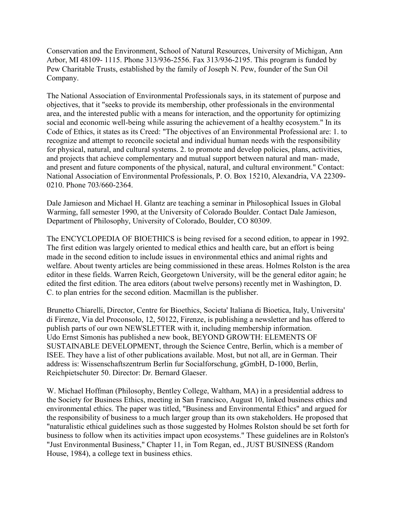Conservation and the Environment, School of Natural Resources, University of Michigan, Ann Arbor, MI 48109- 1115. Phone 313/936-2556. Fax 313/936-2195. This program is funded by Pew Charitable Trusts, established by the family of Joseph N. Pew, founder of the Sun Oil Company.

The National Association of Environmental Professionals says, in its statement of purpose and objectives, that it "seeks to provide its membership, other professionals in the environmental area, and the interested public with a means for interaction, and the opportunity for optimizing social and economic well-being while assuring the achievement of a healthy ecosystem." In its Code of Ethics, it states as its Creed: "The objectives of an Environmental Professional are: 1. to recognize and attempt to reconcile societal and individual human needs with the responsibility for physical, natural, and cultural systems. 2. to promote and develop policies, plans, activities, and projects that achieve complementary and mutual support between natural and man- made, and present and future components of the physical, natural, and cultural environment." Contact: National Association of Environmental Professionals, P. O. Box 15210, Alexandria, VA 22309- 0210. Phone 703/660-2364.

Dale Jamieson and Michael H. Glantz are teaching a seminar in Philosophical Issues in Global Warming, fall semester 1990, at the University of Colorado Boulder. Contact Dale Jamieson, Department of Philosophy, University of Colorado, Boulder, CO 80309.

The ENCYCLOPEDIA OF BIOETHICS is being revised for a second edition, to appear in 1992. The first edition was largely oriented to medical ethics and health care, but an effort is being made in the second edition to include issues in environmental ethics and animal rights and welfare. About twenty articles are being commissioned in these areas. Holmes Rolston is the area editor in these fields. Warren Reich, Georgetown University, will be the general editor again; he edited the first edition. The area editors (about twelve persons) recently met in Washington, D. C. to plan entries for the second edition. Macmillan is the publisher.

Brunetto Chiarelli, Director, Centre for Bioethics, Societa' Italiana di Bioetica, Italy, Universita' di Firenze, Via del Proconsolo, 12, 50122, Firenze, is publishing a newsletter and has offered to publish parts of our own NEWSLETTER with it, including membership information. Udo Ernst Simonis has published a new book, BEYOND GROWTH: ELEMENTS OF SUSTAINABLE DEVELOPMENT, through the Science Centre, Berlin, which is a member of ISEE. They have a list of other publications available. Most, but not all, are in German. Their address is: Wissenschaftszentrum Berlin fur Socialforschung, gGmbH, D-1000, Berlin, Reichpietschuter 50. Director: Dr. Bernard Glaeser.

W. Michael Hoffman (Philosophy, Bentley College, Waltham, MA) in a presidential address to the Society for Business Ethics, meeting in San Francisco, August 10, linked business ethics and environmental ethics. The paper was titled, "Business and Environmental Ethics" and argued for the responsibility of business to a much larger group than its own stakeholders. He proposed that "naturalistic ethical guidelines such as those suggested by Holmes Rolston should be set forth for business to follow when its activities impact upon ecosystems." These guidelines are in Rolston's "Just Environmental Business," Chapter 11, in Tom Regan, ed., JUST BUSINESS (Random House, 1984), a college text in business ethics.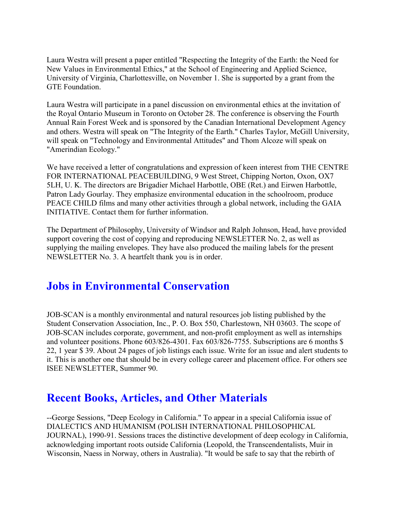Laura Westra will present a paper entitled "Respecting the Integrity of the Earth: the Need for New Values in Environmental Ethics," at the School of Engineering and Applied Science, University of Virginia, Charlottesville, on November 1. She is supported by a grant from the GTE Foundation.

Laura Westra will participate in a panel discussion on environmental ethics at the invitation of the Royal Ontario Museum in Toronto on October 28. The conference is observing the Fourth Annual Rain Forest Week and is sponsored by the Canadian International Development Agency and others. Westra will speak on "The Integrity of the Earth." Charles Taylor, McGill University, will speak on "Technology and Environmental Attitudes" and Thom Alcoze will speak on "Amerindian Ecology."

We have received a letter of congratulations and expression of keen interest from THE CENTRE FOR INTERNATIONAL PEACEBUILDING, 9 West Street, Chipping Norton, Oxon, OX7 5LH, U. K. The directors are Brigadier Michael Harbottle, OBE (Ret.) and Eirwen Harbottle, Patron Lady Gourlay. They emphasize environmental education in the schoolroom, produce PEACE CHILD films and many other activities through a global network, including the GAIA INITIATIVE. Contact them for further information.

The Department of Philosophy, University of Windsor and Ralph Johnson, Head, have provided support covering the cost of copying and reproducing NEWSLETTER No. 2, as well as supplying the mailing envelopes. They have also produced the mailing labels for the present NEWSLETTER No. 3. A heartfelt thank you is in order.

#### **Jobs in Environmental Conservation**

JOB-SCAN is a monthly environmental and natural resources job listing published by the Student Conservation Association, Inc., P. O. Box 550, Charlestown, NH 03603. The scope of JOB-SCAN includes corporate, government, and non-profit employment as well as internships and volunteer positions. Phone 603/826-4301. Fax 603/826-7755. Subscriptions are 6 months \$ 22, 1 year \$ 39. About 24 pages of job listings each issue. Write for an issue and alert students to it. This is another one that should be in every college career and placement office. For others see ISEE NEWSLETTER, Summer 90.

#### **Recent Books, Articles, and Other Materials**

--George Sessions, "Deep Ecology in California." To appear in a special California issue of DIALECTICS AND HUMANISM (POLISH INTERNATIONAL PHILOSOPHICAL JOURNAL), 1990-91. Sessions traces the distinctive development of deep ecology in California, acknowledging important roots outside California (Leopold, the Transcendentalists, Muir in Wisconsin, Naess in Norway, others in Australia). "It would be safe to say that the rebirth of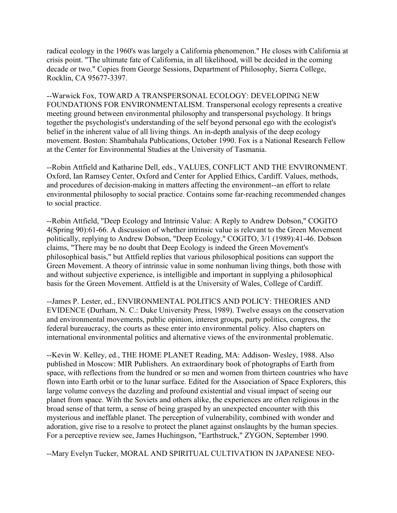radical ecology in the 1960's was largely a California phenomenon." He closes with California at crisis point. "The ultimate fate of California, in all likelihood, will be decided in the coming decade or two." Copies from George Sessions, Department of Philosophy, Sierra College, Rocklin, CA 95677-3397.

--Warwick Fox, TOWARD A TRANSPERSONAL ECOLOGY: DEVELOPING NEW FOUNDATIONS FOR ENVIRONMENTALISM. Transpersonal ecology represents a creative meeting ground between environmental philosophy and transpersonal psychology. It brings together the psychologist's understanding of the self beyond personal ego with the ecologist's belief in the inherent value of all living things. An in-depth analysis of the deep ecology movement. Boston: Shambahala Publications, October 1990. Fox is a National Research Fellow at the Center for Environmental Studies at the University of Tasmania.

--Robin Attfield and Katharine Dell, eds., VALUES, CONFLICT AND THE ENVIRONMENT. Oxford, Ian Ramsey Center, Oxford and Center for Applied Ethics, Cardiff. Values, methods, and procedures of decision-making in matters affecting the environment--an effort to relate environmental philosophy to social practice. Contains some far-reaching recommended changes to social practice.

--Robin Attfield, "Deep Ecology and Intrinsic Value: A Reply to Andrew Dobson," COGITO 4(Spring 90):61-66. A discussion of whether intrinsic value is relevant to the Green Movement politically, replying to Andrew Dobson, "Deep Ecology," COGITO, 3/1 (1989):41-46. Dobson claims, "There may be no doubt that Deep Ecology is indeed the Green Movement's philosophical basis," but Attfield replies that various philosophical positions can support the Green Movement. A theory of intrinsic value in some nonhuman living things, both those with and without subjective experience, is intelligible and important in supplying a philosophical basis for the Green Movement. Attfield is at the University of Wales, College of Cardiff.

--James P. Lester, ed., ENVIRONMENTAL POLITICS AND POLICY: THEORIES AND EVIDENCE (Durham, N. C.: Duke University Press, 1989). Twelve essays on the conservation and environmental movements, public opinion, interest groups, party politics, congress, the federal bureaucracy, the courts as these enter into environmental policy. Also chapters on international environmental politics and alternative views of the environmental problematic.

--Kevin W. Kelley, ed., THE HOME PLANET Reading, MA: Addison- Wesley, 1988. Also published in Moscow: MIR Publishers. An extraordinary book of photographs of Earth from space, with reflections from the hundred or so men and women from thirteen countries who have flown into Earth orbit or to the lunar surface. Edited for the Association of Space Explorers, this large volume conveys the dazzling and profound existential and visual impact of seeing our planet from space. With the Soviets and others alike, the experiences are often religious in the broad sense of that term, a sense of being grasped by an unexpected encounter with this mysterious and ineffable planet. The perception of vulnerability, combined with wonder and adoration, give rise to a resolve to protect the planet against onslaughts by the human species. For a perceptive review see, James Huchingson, "Earthstruck," ZYGON, September 1990.

--Mary Evelyn Tucker, MORAL AND SPIRITUAL CULTIVATION IN JAPANESE NEO-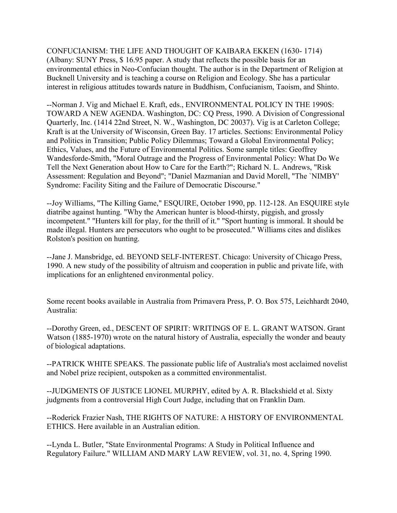CONFUCIANISM: THE LIFE AND THOUGHT OF KAIBARA EKKEN (1630- 1714) (Albany: SUNY Press, \$ 16.95 paper. A study that reflects the possible basis for an environmental ethics in Neo-Confucian thought. The author is in the Department of Religion at Bucknell University and is teaching a course on Religion and Ecology. She has a particular interest in religious attitudes towards nature in Buddhism, Confucianism, Taoism, and Shinto.

--Norman J. Vig and Michael E. Kraft, eds., ENVIRONMENTAL POLICY IN THE 1990S: TOWARD A NEW AGENDA. Washington, DC: CQ Press, 1990. A Division of Congressional Quarterly, Inc. (1414 22nd Street, N. W., Washington, DC 20037). Vig is at Carleton College; Kraft is at the University of Wisconsin, Green Bay. 17 articles. Sections: Environmental Policy and Politics in Transition; Public Policy Dilemmas; Toward a Global Environmental Policy; Ethics, Values, and the Future of Environmental Politics. Some sample titles: Geoffrey Wandesforde-Smith, "Moral Outrage and the Progress of Environmental Policy: What Do We Tell the Next Generation about How to Care for the Earth?"; Richard N. L. Andrews, "Risk Assessment: Regulation and Beyond"; "Daniel Mazmanian and David Morell, "The `NIMBY' Syndrome: Facility Siting and the Failure of Democratic Discourse."

--Joy Williams, "The Killing Game," ESQUIRE, October 1990, pp. 112-128. An ESQUIRE style diatribe against hunting. "Why the American hunter is blood-thirsty, piggish, and grossly incompetent." "Hunters kill for play, for the thrill of it." "Sport hunting is immoral. It should be made illegal. Hunters are persecutors who ought to be prosecuted." Williams cites and dislikes Rolston's position on hunting.

--Jane J. Mansbridge, ed. BEYOND SELF-INTEREST. Chicago: University of Chicago Press, 1990. A new study of the possibility of altruism and cooperation in public and private life, with implications for an enlightened environmental policy.

Some recent books available in Australia from Primavera Press, P. O. Box 575, Leichhardt 2040, Australia:

--Dorothy Green, ed., DESCENT OF SPIRIT: WRITINGS OF E. L. GRANT WATSON. Grant Watson (1885-1970) wrote on the natural history of Australia, especially the wonder and beauty of biological adaptations.

--PATRICK WHITE SPEAKS. The passionate public life of Australia's most acclaimed novelist and Nobel prize recipient, outspoken as a committed environmentalist.

--JUDGMENTS OF JUSTICE LIONEL MURPHY, edited by A. R. Blackshield et al. Sixty judgments from a controversial High Court Judge, including that on Franklin Dam.

--Roderick Frazier Nash, THE RIGHTS OF NATURE: A HISTORY OF ENVIRONMENTAL ETHICS. Here available in an Australian edition.

--Lynda L. Butler, "State Environmental Programs: A Study in Political Influence and Regulatory Failure." WILLIAM AND MARY LAW REVIEW, vol. 31, no. 4, Spring 1990.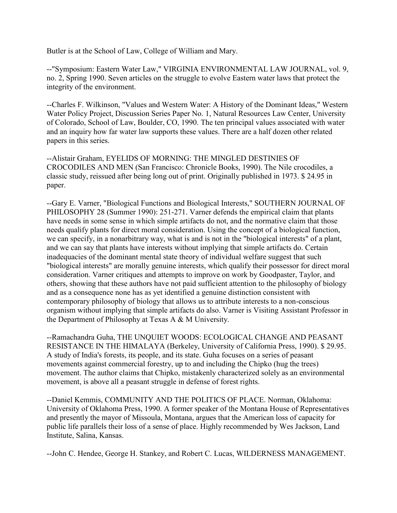Butler is at the School of Law, College of William and Mary.

--"Symposium: Eastern Water Law," VIRGINIA ENVIRONMENTAL LAW JOURNAL, vol. 9, no. 2, Spring 1990. Seven articles on the struggle to evolve Eastern water laws that protect the integrity of the environment.

--Charles F. Wilkinson, "Values and Western Water: A History of the Dominant Ideas," Western Water Policy Project, Discussion Series Paper No. 1, Natural Resources Law Center, University of Colorado, School of Law, Boulder, CO, 1990. The ten principal values associated with water and an inquiry how far water law supports these values. There are a half dozen other related papers in this series.

--Alistair Graham, EYELIDS OF MORNING: THE MINGLED DESTINIES OF CROCODILES AND MEN (San Francisco: Chronicle Books, 1990). The Nile crocodiles, a classic study, reissued after being long out of print. Originally published in 1973. \$ 24.95 in paper.

--Gary E. Varner, "Biological Functions and Biological Interests," SOUTHERN JOURNAL OF PHILOSOPHY 28 (Summer 1990): 251-271. Varner defends the empirical claim that plants have needs in some sense in which simple artifacts do not, and the normative claim that those needs qualify plants for direct moral consideration. Using the concept of a biological function, we can specify, in a nonarbitrary way, what is and is not in the "biological interests" of a plant, and we can say that plants have interests without implying that simple artifacts do. Certain inadequacies of the dominant mental state theory of individual welfare suggest that such "biological interests" are morally genuine interests, which qualify their possessor for direct moral consideration. Varner critiques and attempts to improve on work by Goodpaster, Taylor, and others, showing that these authors have not paid sufficient attention to the philosophy of biology and as a consequence none has as yet identified a genuine distinction consistent with contemporary philosophy of biology that allows us to attribute interests to a non-conscious organism without implying that simple artifacts do also. Varner is Visiting Assistant Professor in the Department of Philosophy at Texas A & M University.

--Ramachandra Guha, THE UNQUIET WOODS: ECOLOGICAL CHANGE AND PEASANT RESISTANCE IN THE HIMALAYA (Berkeley, University of California Press, 1990). \$ 29.95. A study of India's forests, its people, and its state. Guha focuses on a series of peasant movements against commercial forestry, up to and including the Chipko (hug the trees) movement. The author claims that Chipko, mistakenly characterized solely as an environmental movement, is above all a peasant struggle in defense of forest rights.

--Daniel Kemmis, COMMUNITY AND THE POLITICS OF PLACE. Norman, Oklahoma: University of Oklahoma Press, 1990. A former speaker of the Montana House of Representatives and presently the mayor of Missoula, Montana, argues that the American loss of capacity for public life parallels their loss of a sense of place. Highly recommended by Wes Jackson, Land Institute, Salina, Kansas.

--John C. Hendee, George H. Stankey, and Robert C. Lucas, WILDERNESS MANAGEMENT.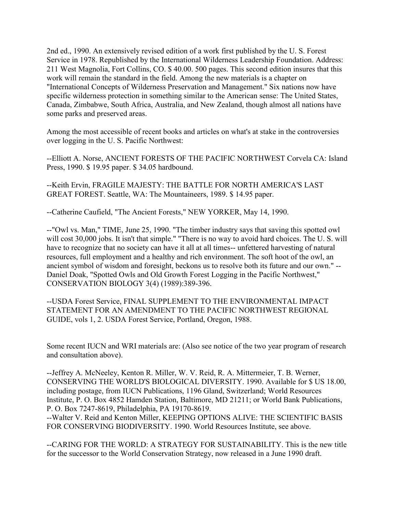2nd ed., 1990. An extensively revised edition of a work first published by the U. S. Forest Service in 1978. Republished by the International Wilderness Leadership Foundation. Address: 211 West Magnolia, Fort Collins, CO. \$ 40.00. 500 pages. This second edition insures that this work will remain the standard in the field. Among the new materials is a chapter on "International Concepts of Wilderness Preservation and Management." Six nations now have specific wilderness protection in something similar to the American sense: The United States, Canada, Zimbabwe, South Africa, Australia, and New Zealand, though almost all nations have some parks and preserved areas.

Among the most accessible of recent books and articles on what's at stake in the controversies over logging in the U. S. Pacific Northwest:

--Elliott A. Norse, ANCIENT FORESTS OF THE PACIFIC NORTHWEST Corvela CA: Island Press, 1990. \$ 19.95 paper. \$ 34.05 hardbound.

--Keith Ervin, FRAGILE MAJESTY: THE BATTLE FOR NORTH AMERICA'S LAST GREAT FOREST. Seattle, WA: The Mountaineers, 1989. \$ 14.95 paper.

--Catherine Caufield, "The Ancient Forests," NEW YORKER, May 14, 1990.

--"Owl vs. Man," TIME, June 25, 1990. "The timber industry says that saving this spotted owl will cost 30,000 jobs. It isn't that simple." "There is no way to avoid hard choices. The U. S. will have to recognize that no society can have it all at all times-- unfettered harvesting of natural resources, full employment and a healthy and rich environment. The soft hoot of the owl, an ancient symbol of wisdom and foresight, beckons us to resolve both its future and our own." -- Daniel Doak, "Spotted Owls and Old Growth Forest Logging in the Pacific Northwest," CONSERVATION BIOLOGY 3(4) (1989):389-396.

--USDA Forest Service, FINAL SUPPLEMENT TO THE ENVIRONMENTAL IMPACT STATEMENT FOR AN AMENDMENT TO THE PACIFIC NORTHWEST REGIONAL GUIDE, vols 1, 2. USDA Forest Service, Portland, Oregon, 1988.

Some recent IUCN and WRI materials are: (Also see notice of the two year program of research and consultation above).

--Jeffrey A. McNeeley, Kenton R. Miller, W. V. Reid, R. A. Mittermeier, T. B. Werner, CONSERVING THE WORLD'S BIOLOGICAL DIVERSITY. 1990. Available for \$ US 18.00, including postage, from IUCN Publications, 1196 Gland, Switzerland; World Resources Institute, P. O. Box 4852 Hamden Station, Baltimore, MD 21211; or World Bank Publications, P. O. Box 7247-8619, Philadelphia, PA 19170-8619.

--Walter V. Reid and Kenton Miller, KEEPING OPTIONS ALIVE: THE SCIENTIFIC BASIS FOR CONSERVING BIODIVERSITY. 1990. World Resources Institute, see above.

--CARING FOR THE WORLD: A STRATEGY FOR SUSTAINABILITY. This is the new title for the successor to the World Conservation Strategy, now released in a June 1990 draft.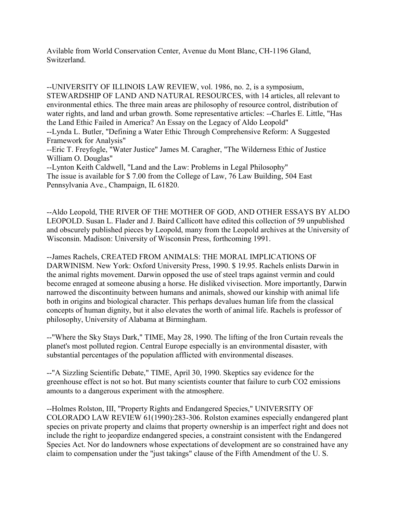Avilable from World Conservation Center, Avenue du Mont Blanc, CH-1196 Gland, Switzerland.

--UNIVERSITY OF ILLINOIS LAW REVIEW, vol. 1986, no. 2, is a symposium, STEWARDSHIP OF LAND AND NATURAL RESOURCES, with 14 articles, all relevant to environmental ethics. The three main areas are philosophy of resource control, distribution of water rights, and land and urban growth. Some representative articles: --Charles E. Little, "Has the Land Ethic Failed in America? An Essay on the Legacy of Aldo Leopold" --Lynda L. Butler, "Defining a Water Ethic Through Comprehensive Reform: A Suggested Framework for Analysis"

--Eric T. Freyfogle, "Water Justice" James M. Caragher, "The Wilderness Ethic of Justice William O. Douglas"

--Lynton Keith Caldwell, "Land and the Law: Problems in Legal Philosophy" The issue is available for \$ 7.00 from the College of Law, 76 Law Building, 504 East Pennsylvania Ave., Champaign, IL 61820.

--Aldo Leopold, THE RIVER OF THE MOTHER OF GOD, AND OTHER ESSAYS BY ALDO LEOPOLD. Susan L. Flader and J. Baird Callicott have edited this collection of 59 unpublished and obscurely published pieces by Leopold, many from the Leopold archives at the University of Wisconsin. Madison: University of Wisconsin Press, forthcoming 1991.

--James Rachels, CREATED FROM ANIMALS: THE MORAL IMPLICATIONS OF DARWINISM. New York: Oxford University Press, 1990. \$ 19.95. Rachels enlists Darwin in the animal rights movement. Darwin opposed the use of steel traps against vermin and could become enraged at someone abusing a horse. He disliked vivisection. More importantly, Darwin narrowed the discontinuity between humans and animals, showed our kinship with animal life both in origins and biological character. This perhaps devalues human life from the classical concepts of human dignity, but it also elevates the worth of animal life. Rachels is professor of philosophy, University of Alabama at Birmingham.

--"Where the Sky Stays Dark," TIME, May 28, 1990. The lifting of the Iron Curtain reveals the planet's most polluted region. Central Europe especially is an environmental disaster, with substantial percentages of the population afflicted with environmental diseases.

--"A Sizzling Scientific Debate," TIME, April 30, 1990. Skeptics say evidence for the greenhouse effect is not so hot. But many scientists counter that failure to curb CO2 emissions amounts to a dangerous experiment with the atmosphere.

--Holmes Rolston, III, "Property Rights and Endangered Species," UNIVERSITY OF COLORADO LAW REVIEW 61(1990):283-306. Rolston examines especially endangered plant species on private property and claims that property ownership is an imperfect right and does not include the right to jeopardize endangered species, a constraint consistent with the Endangered Species Act. Nor do landowners whose expectations of development are so constrained have any claim to compensation under the "just takings" clause of the Fifth Amendment of the U. S.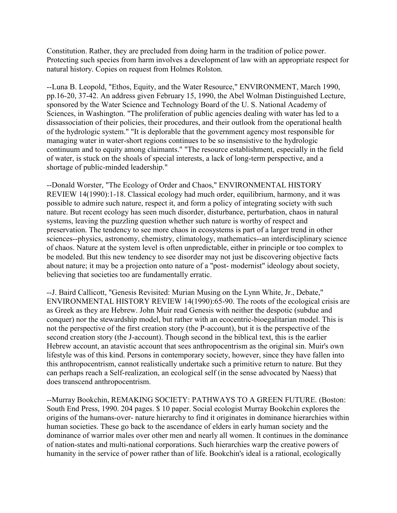Constitution. Rather, they are precluded from doing harm in the tradition of police power. Protecting such species from harm involves a development of law with an appropriate respect for natural history. Copies on request from Holmes Rolston.

--Luna B. Leopold, "Ethos, Equity, and the Water Resource," ENVIRONMENT, March 1990, pp.16-20, 37-42. An address given February 15, 1990, the Abel Wolman Distinguished Lecture, sponsored by the Water Science and Technology Board of the U. S. National Academy of Sciences, in Washington. "The proliferation of public agencies dealing with water has led to a dissassociation of their policies, their procedures, and their outlook from the operational health of the hydrologic system." "It is deplorable that the government agency most responsible for managing water in water-short regions continues to be so insensistive to the hydrologic continuum and to equity among claimants." "The resource establishment, especially in the field of water, is stuck on the shoals of special interests, a lack of long-term perspective, and a shortage of public-minded leadership."

--Donald Worster, "The Ecology of Order and Chaos," ENVIRONMENTAL HISTORY REVIEW 14(1990):1-18. Classical ecology had much order, equilibrium, harmony, and it was possible to admire such nature, respect it, and form a policy of integrating society with such nature. But recent ecology has seen much disorder, disturbance, perturbation, chaos in natural systems, leaving the puzzling question whether such nature is worthy of respect and preservation. The tendency to see more chaos in ecosystems is part of a larger trend in other sciences--physics, astronomy, chemistry, climatology, mathematics--an interdisciplinary science of chaos. Nature at the system level is often unpredictable, either in principle or too complex to be modeled. But this new tendency to see disorder may not just be discovering objective facts about nature; it may be a projection onto nature of a "post- modernist" ideology about society, believing that societies too are fundamentally erratic.

--J. Baird Callicott, "Genesis Revisited: Murian Musing on the Lynn White, Jr., Debate," ENVIRONMENTAL HISTORY REVIEW 14(1990):65-90. The roots of the ecological crisis are as Greek as they are Hebrew. John Muir read Genesis with neither the despotic (subdue and conquer) nor the stewardship model, but rather with an ecocentric-bioegalitarian model. This is not the perspective of the first creation story (the P-account), but it is the perspective of the second creation story (the J-account). Though second in the biblical text, this is the earlier Hebrew account, an atavistic account that sees anthropocentrism as the original sin. Muir's own lifestyle was of this kind. Persons in contemporary society, however, since they have fallen into this anthropocentrism, cannot realistically undertake such a primitive return to nature. But they can perhaps reach a Self-realization, an ecological self (in the sense advocated by Naess) that does transcend anthropocentrism.

--Murray Bookchin, REMAKING SOCIETY: PATHWAYS TO A GREEN FUTURE. (Boston: South End Press, 1990. 204 pages. \$ 10 paper. Social ecologist Murray Bookchin explores the origins of the humans-over- nature hierarchy to find it originates in dominance hierarchies within human societies. These go back to the ascendance of elders in early human society and the dominance of warrior males over other men and nearly all women. It continues in the dominance of nation-states and multi-national corporations. Such hierarchies warp the creative powers of humanity in the service of power rather than of life. Bookchin's ideal is a rational, ecologically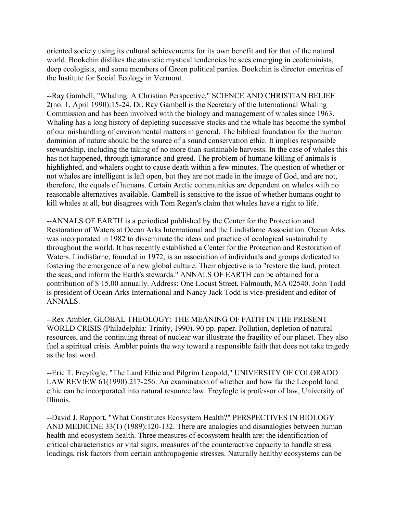oriented society using its cultural achievements for its own benefit and for that of the natural world. Bookchin dislikes the atavistic mystical tendencies he sees emerging in ecofeminists, deep ecologists, and some members of Green political parties. Bookchin is director emeritus of the Institute for Social Ecology in Vermont.

--Ray Gambell, "Whaling: A Christian Perspective," SCIENCE AND CHRISTIAN BELIEF 2(no. 1, April 1990):15-24. Dr. Ray Gambell is the Secretary of the International Whaling Commission and has been involved with the biology and management of whales since 1963. Whaling has a long history of depleting successive stocks and the whale has become the symbol of our mishandling of environmental matters in general. The biblical foundation for the human dominion of nature should be the source of a sound conservation ethic. It implies responsible stewardship, including the taking of no more than sustainable harvests. In the case of whales this has not happened, through ignorance and greed. The problem of humane killing of animals is highlighted, and whalers ought to cause death within a few minutes. The question of whether or not whales are intelligent is left open, but they are not made in the image of God, and are not, therefore, the equals of humans. Certain Arctic communities are dependent on whales with no reasonable alternatives available. Gambell is sensitive to the issue of whether humans ought to kill whales at all, but disagrees with Tom Regan's claim that whales have a right to life.

--ANNALS OF EARTH is a periodical published by the Center for the Protection and Restoration of Waters at Ocean Arks International and the Lindisfarne Association. Ocean Arks was incorporated in 1982 to disseminate the ideas and practice of ecological sustainability throughout the world. It has recently established a Center for the Protection and Restoration of Waters. Lindisfarne, founded in 1972, is an association of individuals and groups dedicated to fostering the emergence of a new global culture. Their objective is to "restore the land, protect the seas, and inform the Earth's stewards." ANNALS OF EARTH can be obtained for a contribution of \$ 15.00 annually. Address: One Locust Street, Falmouth, MA 02540. John Todd is president of Ocean Arks International and Nancy Jack Todd is vice-president and editor of ANNALS.

--Rex Ambler, GLOBAL THEOLOGY: THE MEANING OF FAITH IN THE PRESENT WORLD CRISIS (Philadelphia: Trinity, 1990). 90 pp. paper. Pollution, depletion of natural resources, and the continuing threat of nuclear war illustrate the fragility of our planet. They also fuel a spiritual crisis. Ambler points the way toward a responsible faith that does not take tragedy as the last word.

--Eric T. Freyfogle, "The Land Ethic and Pilgrim Leopold," UNIVERSITY OF COLORADO LAW REVIEW 61(1990):217-256. An examination of whether and how far the Leopold land ethic can be incorporated into natural resource law. Freyfogle is professor of law, University of Illinois.

--David J. Rapport, "What Constitutes Ecosystem Health?" PERSPECTIVES IN BIOLOGY AND MEDICINE 33(1) (1989):120-132. There are analogies and disanalogies between human health and ecosystem health. Three measures of ecosystem health are: the identification of critical characteristics or vital signs, measures of the counteractive capacity to handle stress loadings, risk factors from certain anthropogenic stresses. Naturally healthy ecosystems can be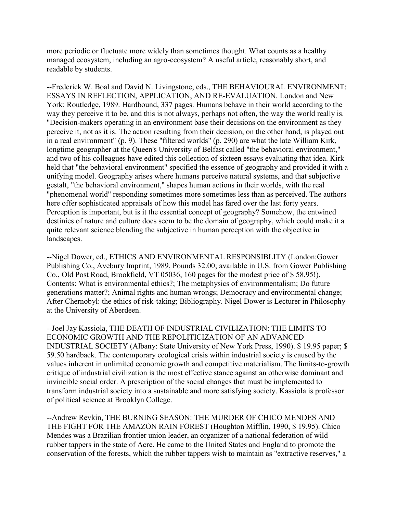more periodic or fluctuate more widely than sometimes thought. What counts as a healthy managed ecosystem, including an agro-ecosystem? A useful article, reasonably short, and readable by students.

--Frederick W. Boal and David N. Livingstone, eds., THE BEHAVIOURAL ENVIRONMENT: ESSAYS IN REFLECTION, APPLICATION, AND RE-EVALUATION. London and New York: Routledge, 1989. Hardbound, 337 pages. Humans behave in their world according to the way they perceive it to be, and this is not always, perhaps not often, the way the world really is. "Decision-makers operating in an environment base their decisions on the environment as they perceive it, not as it is. The action resulting from their decision, on the other hand, is played out in a real environment" (p. 9). These "filtered worlds" (p. 290) are what the late William Kirk, longtime geographer at the Queen's University of Belfast called "the behavioral environment," and two of his colleagues have edited this collection of sixteen essays evaluating that idea. Kirk held that "the behavioral environment" specified the essence of geography and provided it with a unifying model. Geography arises where humans perceive natural systems, and that subjective gestalt, "the behavioral environment," shapes human actions in their worlds, with the real "phenomenal world" responding sometimes more sometimes less than as perceived. The authors here offer sophisticated appraisals of how this model has fared over the last forty years. Perception is important, but is it the essential concept of geography? Somehow, the entwined destinies of nature and culture does seem to be the domain of geography, which could make it a quite relevant science blending the subjective in human perception with the objective in landscapes.

--Nigel Dower, ed., ETHICS AND ENVIRONMENTAL RESPONSIBLITY (London:Gower Publishing Co., Avebury Imprint, 1989, Pounds 32.00; available in U.S. from Gower Publishing Co., Old Post Road, Brookfield, VT 05036, 160 pages for the modest price of \$ 58.95!). Contents: What is environmental ethics?; The metaphysics of environmentalism; Do future generations matter?; Animal rights and human wrongs; Democracy and environmental change; After Chernobyl: the ethics of risk-taking; Bibliography. Nigel Dower is Lecturer in Philosophy at the University of Aberdeen.

--Joel Jay Kassiola, THE DEATH OF INDUSTRIAL CIVILIZATION: THE LIMITS TO ECONOMIC GROWTH AND THE REPOLITICIZATION OF AN ADVANCED INDUSTRIAL SOCIETY (Albany: State University of New York Press, 1990). \$ 19.95 paper; \$ 59.50 hardback. The contemporary ecological crisis within industrial society is caused by the values inherent in unlimited economic growth and competitive materialism. The limits-to-growth critique of industrial civilization is the most effective stance against an otherwise dominant and invincible social order. A prescription of the social changes that must be implemented to transform industrial society into a sustainable and more satisfying society. Kassiola is professor of political science at Brooklyn College.

--Andrew Revkin, THE BURNING SEASON: THE MURDER OF CHICO MENDES AND THE FIGHT FOR THE AMAZON RAIN FOREST (Houghton Mifflin, 1990, \$ 19.95). Chico Mendes was a Brazilian frontier union leader, an organizer of a national federation of wild rubber tappers in the state of Acre. He came to the United States and England to promote the conservation of the forests, which the rubber tappers wish to maintain as "extractive reserves," a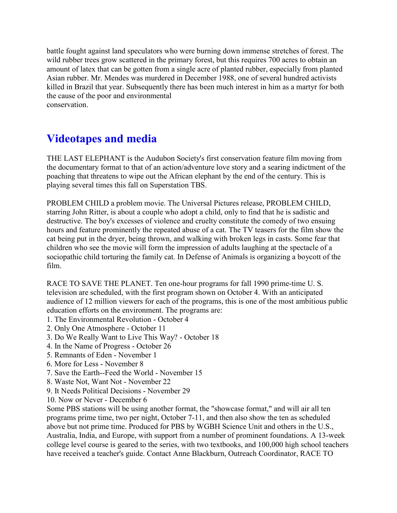battle fought against land speculators who were burning down immense stretches of forest. The wild rubber trees grow scattered in the primary forest, but this requires 700 acres to obtain an amount of latex that can be gotten from a single acre of planted rubber, especially from planted Asian rubber. Mr. Mendes was murdered in December 1988, one of several hundred activists killed in Brazil that year. Subsequently there has been much interest in him as a martyr for both the cause of the poor and environmental conservation.

## **Videotapes and media**

THE LAST ELEPHANT is the Audubon Society's first conservation feature film moving from the documentary format to that of an action/adventure love story and a searing indictment of the poaching that threatens to wipe out the African elephant by the end of the century. This is playing several times this fall on Superstation TBS.

PROBLEM CHILD a problem movie. The Universal Pictures release, PROBLEM CHILD, starring John Ritter, is about a couple who adopt a child, only to find that he is sadistic and destructive. The boy's excesses of violence and cruelty constitute the comedy of two ensuing hours and feature prominently the repeated abuse of a cat. The TV teasers for the film show the cat being put in the dryer, being thrown, and walking with broken legs in casts. Some fear that children who see the movie will form the impression of adults laughing at the spectacle of a sociopathic child torturing the family cat. In Defense of Animals is organizing a boycott of the film.

RACE TO SAVE THE PLANET. Ten one-hour programs for fall 1990 prime-time U. S. television are scheduled, with the first program shown on October 4. With an anticipated audience of 12 million viewers for each of the programs, this is one of the most ambitious public education efforts on the environment. The programs are:

- 1. The Environmental Revolution October 4
- 2. Only One Atmosphere October 11
- 3. Do We Really Want to Live This Way? October 18
- 4. In the Name of Progress October 26
- 5. Remnants of Eden November 1
- 6. More for Less November 8
- 7. Save the Earth--Feed the World November 15
- 8. Waste Not, Want Not November 22
- 9. It Needs Political Decisions November 29
- 10. Now or Never December 6

Some PBS stations will be using another format, the "showcase format," and will air all ten programs prime time, two per night, October 7-11, and then also show the ten as scheduled above but not prime time. Produced for PBS by WGBH Science Unit and others in the U.S., Australia, India, and Europe, with support from a number of prominent foundations. A 13-week college level course is geared to the series, with two textbooks, and 100,000 high school teachers have received a teacher's guide. Contact Anne Blackburn, Outreach Coordinator, RACE TO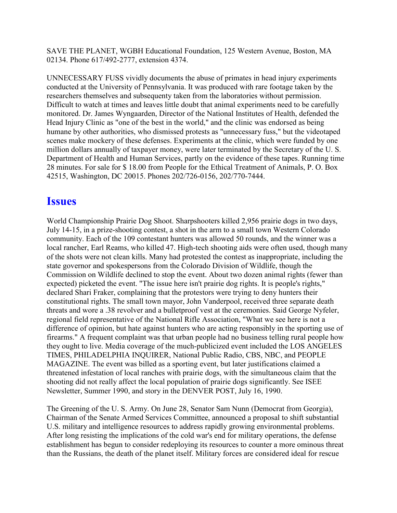SAVE THE PLANET, WGBH Educational Foundation, 125 Western Avenue, Boston, MA 02134. Phone 617/492-2777, extension 4374.

UNNECESSARY FUSS vividly documents the abuse of primates in head injury experiments conducted at the University of Pennsylvania. It was produced with rare footage taken by the researchers themselves and subsequenty taken from the laboratories without permission. Difficult to watch at times and leaves little doubt that animal experiments need to be carefully monitored. Dr. James Wyngaarden, Director of the National Institutes of Health, defended the Head Injury Clinic as "one of the best in the world," and the clinic was endorsed as being humane by other authorities, who dismissed protests as "unnecessary fuss," but the videotaped scenes make mockery of these defenses. Experiments at the clinic, which were funded by one million dollars annually of taxpayer money, were later terminated by the Secretary of the U. S. Department of Health and Human Services, partly on the evidence of these tapes. Running time 28 minutes. For sale for \$ 18.00 from People for the Ethical Treatment of Animals, P. O. Box 42515, Washington, DC 20015. Phones 202/726-0156, 202/770-7444.

#### **Issues**

World Championship Prairie Dog Shoot. Sharpshooters killed 2,956 prairie dogs in two days, July 14-15, in a prize-shooting contest, a shot in the arm to a small town Western Colorado community. Each of the 109 contestant hunters was allowed 50 rounds, and the winner was a local rancher, Earl Reams, who killed 47. High-tech shooting aids were often used, though many of the shots were not clean kills. Many had protested the contest as inappropriate, including the state governor and spokespersons from the Colorado Division of Wildlife, though the Commission on Wildlife declined to stop the event. About two dozen animal rights (fewer than expected) picketed the event. "The issue here isn't prairie dog rights. It is people's rights," declared Shari Fraker, complaining that the protestors were trying to deny hunters their constitutional rights. The small town mayor, John Vanderpool, received three separate death threats and wore a .38 revolver and a bulletproof vest at the ceremonies. Said George Nyfeler, regional field representative of the National Rifle Association, "What we see here is not a difference of opinion, but hate against hunters who are acting responsibly in the sporting use of firearms." A frequent complaint was that urban people had no business telling rural people how they ought to live. Media coverage of the much-publicized event included the LOS ANGELES TIMES, PHILADELPHIA INQUIRER, National Public Radio, CBS, NBC, and PEOPLE MAGAZINE. The event was billed as a sporting event, but later justifications claimed a threatened infestation of local ranches with prairie dogs, with the simultaneous claim that the shooting did not really affect the local population of prairie dogs significantly. See ISEE Newsletter, Summer 1990, and story in the DENVER POST, July 16, 1990.

The Greening of the U. S. Army. On June 28, Senator Sam Nunn (Democrat from Georgia), Chairman of the Senate Armed Services Committee, announced a proposal to shift substantial U.S. military and intelligence resources to address rapidly growing environmental problems. After long resisting the implications of the cold war's end for military operations, the defense establishment has begun to consider redeploying its resources to counter a more ominous threat than the Russians, the death of the planet itself. Military forces are considered ideal for rescue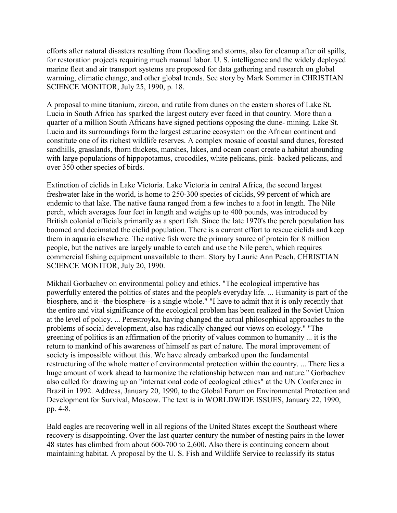efforts after natural disasters resulting from flooding and storms, also for cleanup after oil spills, for restoration projects requiring much manual labor. U. S. intelligence and the widely deployed marine fleet and air transport systems are proposed for data gathering and research on global warming, climatic change, and other global trends. See story by Mark Sommer in CHRISTIAN SCIENCE MONITOR, July 25, 1990, p. 18.

A proposal to mine titanium, zircon, and rutile from dunes on the eastern shores of Lake St. Lucia in South Africa has sparked the largest outcry ever faced in that country. More than a quarter of a million South Africans have signed petitions opposing the dune- mining. Lake St. Lucia and its surroundings form the largest estuarine ecosystem on the African continent and constitute one of its richest wildlife reserves. A complex mosaic of coastal sand dunes, forested sandhills, grasslands, thorn thickets, marshes, lakes, and ocean coast create a habitat abounding with large populations of hippopotamus, crocodiles, white pelicans, pink- backed pelicans, and over 350 other species of birds.

Extinction of ciclids in Lake Victoria. Lake Victoria in central Africa, the second largest freshwater lake in the world, is home to 250-300 species of ciclids, 99 percent of which are endemic to that lake. The native fauna ranged from a few inches to a foot in length. The Nile perch, which averages four feet in length and weighs up to 400 pounds, was introduced by British colonial officials primarily as a sport fish. Since the late 1970's the perch population has boomed and decimated the ciclid population. There is a current effort to rescue ciclids and keep them in aquaria elsewhere. The native fish were the primary source of protein for 8 million people, but the natives are largely unable to catch and use the Nile perch, which requires commercial fishing equipment unavailable to them. Story by Laurie Ann Peach, CHRISTIAN SCIENCE MONITOR, July 20, 1990.

Mikhail Gorbachev on environmental policy and ethics. "The ecological imperative has powerfully entered the politics of states and the people's everyday life. ... Humanity is part of the biosphere, and it--the biosphere--is a single whole." "I have to admit that it is only recently that the entire and vital significance of the ecological problem has been realized in the Soviet Union at the level of policy. ... Perestroyka, having changed the actual philosophical approaches to the problems of social development, also has radically changed our views on ecology." "The greening of politics is an affirmation of the priority of values common to humanity ... it is the return to mankind of his awareness of himself as part of nature. The moral improvement of society is impossible without this. We have already embarked upon the fundamental restructuring of the whole matter of environmental protection within the country. ... There lies a huge amount of work ahead to harmonize the relationship between man and nature." Gorbachev also called for drawing up an "international code of ecological ethics" at the UN Conference in Brazil in 1992. Address, January 20, 1990, to the Global Forum on Environmental Protection and Development for Survival, Moscow. The text is in WORLDWIDE ISSUES, January 22, 1990, pp. 4-8.

Bald eagles are recovering well in all regions of the United States except the Southeast where recovery is disappointing. Over the last quarter century the number of nesting pairs in the lower 48 states has climbed from about 600-700 to 2,600. Also there is continuing concern about maintaining habitat. A proposal by the U. S. Fish and Wildlife Service to reclassify its status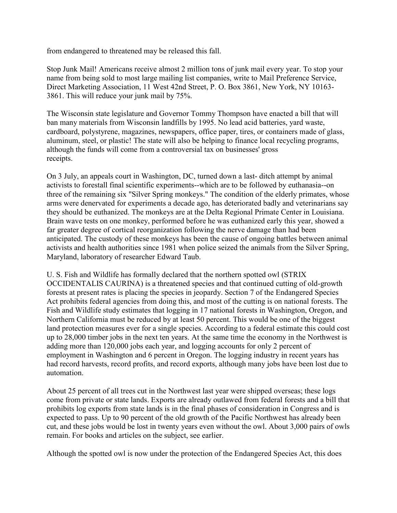from endangered to threatened may be released this fall.

Stop Junk Mail! Americans receive almost 2 million tons of junk mail every year. To stop your name from being sold to most large mailing list companies, write to Mail Preference Service, Direct Marketing Association, 11 West 42nd Street, P. O. Box 3861, New York, NY 10163- 3861. This will reduce your junk mail by 75%.

The Wisconsin state legislature and Governor Tommy Thompson have enacted a bill that will ban many materials from Wisconsin landfills by 1995. No lead acid batteries, yard waste, cardboard, polystyrene, magazines, newspapers, office paper, tires, or containers made of glass, aluminum, steel, or plastic! The state will also be helping to finance local recycling programs, although the funds will come from a controversial tax on businesses' gross receipts.

On 3 July, an appeals court in Washington, DC, turned down a last- ditch attempt by animal activists to forestall final scientific experiments--which are to be followed by euthanasia--on three of the remaining six "Silver Spring monkeys." The condition of the elderly primates, whose arms were denervated for experiments a decade ago, has deteriorated badly and veterinarians say they should be euthanized. The monkeys are at the Delta Regional Primate Center in Louisiana. Brain wave tests on one monkey, performed before he was euthanized early this year, showed a far greater degree of cortical reorganization following the nerve damage than had been anticipated. The custody of these monkeys has been the cause of ongoing battles between animal activists and health authorities since 1981 when police seized the animals from the Silver Spring, Maryland, laboratory of researcher Edward Taub.

U. S. Fish and Wildlife has formally declared that the northern spotted owl (STRIX OCCIDENTALIS CAURINA) is a threatened species and that continued cutting of old-growth forests at present rates is placing the species in jeopardy. Section 7 of the Endangered Species Act prohibits federal agencies from doing this, and most of the cutting is on national forests. The Fish and Wildlife study estimates that logging in 17 national forests in Washington, Oregon, and Northern California must be reduced by at least 50 percent. This would be one of the biggest land protection measures ever for a single species. According to a federal estimate this could cost up to 28,000 timber jobs in the next ten years. At the same time the economy in the Northwest is adding more than 120,000 jobs each year, and logging accounts for only 2 percent of employment in Washington and 6 percent in Oregon. The logging industry in recent years has had record harvests, record profits, and record exports, although many jobs have been lost due to automation.

About 25 percent of all trees cut in the Northwest last year were shipped overseas; these logs come from private or state lands. Exports are already outlawed from federal forests and a bill that prohibits log exports from state lands is in the final phases of consideration in Congress and is expected to pass. Up to 90 percent of the old growth of the Pacific Northwest has already been cut, and these jobs would be lost in twenty years even without the owl. About 3,000 pairs of owls remain. For books and articles on the subject, see earlier.

Although the spotted owl is now under the protection of the Endangered Species Act, this does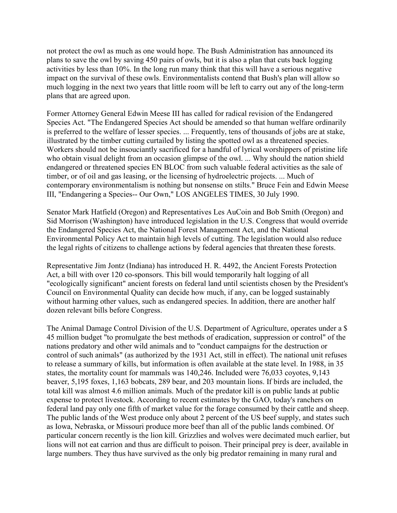not protect the owl as much as one would hope. The Bush Administration has announced its plans to save the owl by saving 450 pairs of owls, but it is also a plan that cuts back logging activities by less than 10%. In the long run many think that this will have a serious negative impact on the survival of these owls. Environmentalists contend that Bush's plan will allow so much logging in the next two years that little room will be left to carry out any of the long-term plans that are agreed upon.

Former Attorney General Edwin Meese III has called for radical revision of the Endangered Species Act. "The Endangered Species Act should be amended so that human welfare ordinarily is preferred to the welfare of lesser species. ... Frequently, tens of thousands of jobs are at stake, illustrated by the timber cutting curtailed by listing the spotted owl as a threatened species. Workers should not be insouciantly sacrificed for a handful of lyrical worshippers of pristine life who obtain visual delight from an occasion glimpse of the owl. ... Why should the nation shield endangered or threatened species EN BLOC from such valuable federal activities as the sale of timber, or of oil and gas leasing, or the licensing of hydroelectric projects. ... Much of contemporary environmentalism is nothing but nonsense on stilts." Bruce Fein and Edwin Meese III, "Endangering a Species-- Our Own," LOS ANGELES TIMES, 30 July 1990.

Senator Mark Hatfield (Oregon) and Representatives Les AuCoin and Bob Smith (Oregon) and Sid Morrison (Washington) have introduced legislation in the U.S. Congress that would override the Endangered Species Act, the National Forest Management Act, and the National Environmental Policy Act to maintain high levels of cutting. The legislation would also reduce the legal rights of citizens to challenge actions by federal agencies that threaten these forests.

Representative Jim Jontz (Indiana) has introduced H. R. 4492, the Ancient Forests Protection Act, a bill with over 120 co-sponsors. This bill would temporarily halt logging of all "ecologically significant" ancient forests on federal land until scientists chosen by the President's Council on Environmental Quality can decide how much, if any, can be logged sustainably without harming other values, such as endangered species. In addition, there are another half dozen relevant bills before Congress.

The Animal Damage Control Division of the U.S. Department of Agriculture, operates under a \$ 45 million budget "to promulgate the best methods of eradication, suppression or control" of the nations predatory and other wild animals and to "conduct campaigns for the destruction or control of such animals" (as authorized by the 1931 Act, still in effect). The national unit refuses to release a summary of kills, but information is often available at the state level. In 1988, in 35 states, the mortality count for mammals was 140,246. Included were 76,033 coyotes, 9,143 beaver, 5,195 foxes, 1,163 bobcats, 289 bear, and 203 mountain lions. If birds are included, the total kill was almost 4.6 million animals. Much of the predator kill is on public lands at public expense to protect livestock. According to recent estimates by the GAO, today's ranchers on federal land pay only one fifth of market value for the forage consumed by their cattle and sheep. The public lands of the West produce only about 2 percent of the US beef supply, and states such as Iowa, Nebraska, or Missouri produce more beef than all of the public lands combined. Of particular concern recently is the lion kill. Grizzlies and wolves were decimated much earlier, but lions will not eat carrion and thus are difficult to poison. Their principal prey is deer, available in large numbers. They thus have survived as the only big predator remaining in many rural and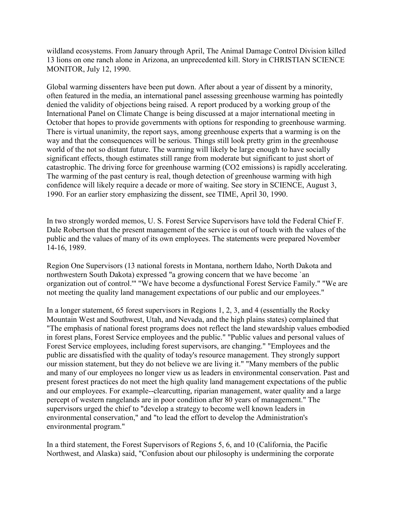wildland ecosystems. From January through April, The Animal Damage Control Division killed 13 lions on one ranch alone in Arizona, an unprecedented kill. Story in CHRISTIAN SCIENCE MONITOR, July 12, 1990.

Global warming dissenters have been put down. After about a year of dissent by a minority, often featured in the media, an international panel assessing greenhouse warming has pointedly denied the validity of objections being raised. A report produced by a working group of the International Panel on Climate Change is being discussed at a major international meeting in October that hopes to provide governments with options for responding to greenhouse warming. There is virtual unanimity, the report says, among greenhouse experts that a warming is on the way and that the consequences will be serious. Things still look pretty grim in the greenhouse world of the not so distant future. The warming will likely be large enough to have socially significant effects, though estimates still range from moderate but significant to just short of catastrophic. The driving force for greenhouse warming (CO2 emissions) is rapidly accelerating. The warming of the past century is real, though detection of greenhouse warming with high confidence will likely require a decade or more of waiting. See story in SCIENCE, August 3, 1990. For an earlier story emphasizing the dissent, see TIME, April 30, 1990.

In two strongly worded memos, U. S. Forest Service Supervisors have told the Federal Chief F. Dale Robertson that the present management of the service is out of touch with the values of the public and the values of many of its own employees. The statements were prepared November 14-16, 1989.

Region One Supervisors (13 national forests in Montana, northern Idaho, North Dakota and northwestern South Dakota) expressed "a growing concern that we have become `an organization out of control.'" "We have become a dysfunctional Forest Service Family." "We are not meeting the quality land management expectations of our public and our employees."

In a longer statement, 65 forest supervisors in Regions 1, 2, 3, and 4 (essentially the Rocky Mountain West and Southwest, Utah, and Nevada, and the high plains states) complained that "The emphasis of national forest programs does not reflect the land stewardship values embodied in forest plans, Forest Service employees and the public." "Public values and personal values of Forest Service employees, including forest supervisors, are changing." "Employees and the public are dissatisfied with the quality of today's resource management. They strongly support our mission statement, but they do not believe we are living it." "Many members of the public and many of our employees no longer view us as leaders in environmental conservation. Past and present forest practices do not meet the high quality land management expectations of the public and our employees. For example--clearcutting, riparian management, water quality and a large percept of western rangelands are in poor condition after 80 years of management." The supervisors urged the chief to "develop a strategy to become well known leaders in environmental conservation," and "to lead the effort to develop the Administration's environmental program."

In a third statement, the Forest Supervisors of Regions 5, 6, and 10 (California, the Pacific Northwest, and Alaska) said, "Confusion about our philosophy is undermining the corporate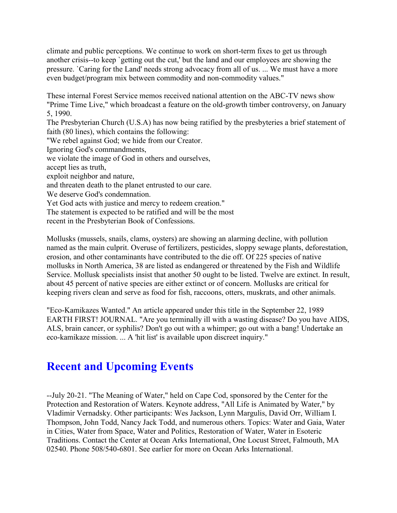climate and public perceptions. We continue to work on short-term fixes to get us through another crisis--to keep `getting out the cut,' but the land and our employees are showing the pressure. `Caring for the Land' needs strong advocacy from all of us. ... We must have a more even budget/program mix between commodity and non-commodity values."

These internal Forest Service memos received national attention on the ABC-TV news show "Prime Time Live," which broadcast a feature on the old-growth timber controversy, on January 5, 1990.

The Presbyterian Church (U.S.A) has now being ratified by the presbyteries a brief statement of faith (80 lines), which contains the following:

"We rebel against God; we hide from our Creator.

Ignoring God's commandments,

we violate the image of God in others and ourselves,

accept lies as truth,

exploit neighbor and nature,

and threaten death to the planet entrusted to our care.

We deserve God's condemnation.

Yet God acts with justice and mercy to redeem creation."

The statement is expected to be ratified and will be the most

recent in the Presbyterian Book of Confessions.

Mollusks (mussels, snails, clams, oysters) are showing an alarming decline, with pollution named as the main culprit. Overuse of fertilizers, pesticides, sloppy sewage plants, deforestation, erosion, and other contaminants have contributed to the die off. Of 225 species of native mollusks in North America, 38 are listed as endangered or threatened by the Fish and Wildlife Service. Mollusk specialists insist that another 50 ought to be listed. Twelve are extinct. In result, about 45 percent of native species are either extinct or of concern. Mollusks are critical for keeping rivers clean and serve as food for fish, raccoons, otters, muskrats, and other animals.

"Eco-Kamikazes Wanted." An article appeared under this title in the September 22, 1989 EARTH FIRST! JOURNAL. "Are you terminally ill with a wasting disease? Do you have AIDS, ALS, brain cancer, or syphilis? Don't go out with a whimper; go out with a bang! Undertake an eco-kamikaze mission. ... A 'hit list' is available upon discreet inquiry."

### **Recent and Upcoming Events**

--July 20-21. "The Meaning of Water," held on Cape Cod, sponsored by the Center for the Protection and Restoration of Waters. Keynote address, "All Life is Animated by Water," by Vladimir Vernadsky. Other participants: Wes Jackson, Lynn Margulis, David Orr, William I. Thompson, John Todd, Nancy Jack Todd, and numerous others. Topics: Water and Gaia, Water in Cities, Water from Space, Water and Politics, Restoration of Water, Water in Esoteric Traditions. Contact the Center at Ocean Arks International, One Locust Street, Falmouth, MA 02540. Phone 508/540-6801. See earlier for more on Ocean Arks International.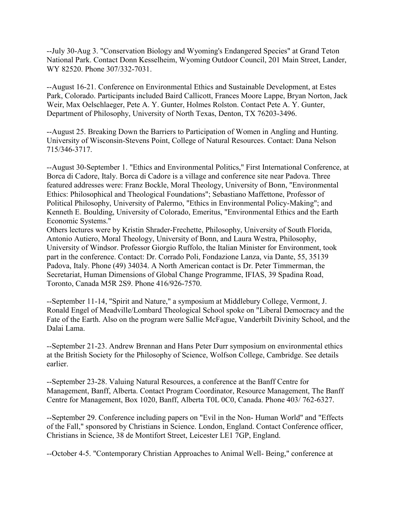--July 30-Aug 3. "Conservation Biology and Wyoming's Endangered Species" at Grand Teton National Park. Contact Donn Kesselheim, Wyoming Outdoor Council, 201 Main Street, Lander, WY 82520. Phone 307/332-7031.

--August 16-21. Conference on Environmental Ethics and Sustainable Development, at Estes Park, Colorado. Participants included Baird Callicott, Frances Moore Lappe, Bryan Norton, Jack Weir, Max Oelschlaeger, Pete A. Y. Gunter, Holmes Rolston. Contact Pete A. Y. Gunter, Department of Philosophy, University of North Texas, Denton, TX 76203-3496.

--August 25. Breaking Down the Barriers to Participation of Women in Angling and Hunting. University of Wisconsin-Stevens Point, College of Natural Resources. Contact: Dana Nelson 715/346-3717.

--August 30-September 1. "Ethics and Environmental Politics," First International Conference, at Borca di Cadore, Italy. Borca di Cadore is a village and conference site near Padova. Three featured addresses were: Franz Bockle, Moral Theology, University of Bonn, "Environmental Ethics: Philosophical and Theological Foundations"; Sebastiano Maffettone, Professor of Political Philosophy, University of Palermo, "Ethics in Environmental Policy-Making"; and Kenneth E. Boulding, University of Colorado, Emeritus, "Environmental Ethics and the Earth Economic Systems."

Others lectures were by Kristin Shrader-Frechette, Philosophy, University of South Florida, Antonio Autiero, Moral Theology, University of Bonn, and Laura Westra, Philosophy, University of Windsor. Professor Giorgio Ruffolo, the Italian Minister for Environment, took part in the conference. Contact: Dr. Corrado Poli, Fondazione Lanza, via Dante, 55, 35139 Padova, Italy. Phone (49) 34034. A North American contact is Dr. Peter Timmerman, the Secretariat, Human Dimensions of Global Change Programme, IFIAS, 39 Spadina Road, Toronto, Canada M5R 2S9. Phone 416/926-7570.

--September 11-14, "Spirit and Nature," a symposium at Middlebury College, Vermont, J. Ronald Engel of Meadville/Lombard Theological School spoke on "Liberal Democracy and the Fate of the Earth. Also on the program were Sallie McFague, Vanderbilt Divinity School, and the Dalai Lama.

--September 21-23. Andrew Brennan and Hans Peter Durr symposium on environmental ethics at the British Society for the Philosophy of Science, Wolfson College, Cambridge. See details earlier.

--September 23-28. Valuing Natural Resources, a conference at the Banff Centre for Management, Banff, Alberta. Contact Program Coordinator, Resource Management, The Banff Centre for Management, Box 1020, Banff, Alberta T0L 0C0, Canada. Phone 403/ 762-6327.

--September 29. Conference including papers on "Evil in the Non- Human World" and "Effects of the Fall," sponsored by Christians in Science. London, England. Contact Conference officer, Christians in Science, 38 de Montifort Street, Leicester LE1 7GP, England.

--October 4-5. "Contemporary Christian Approaches to Animal Well- Being," conference at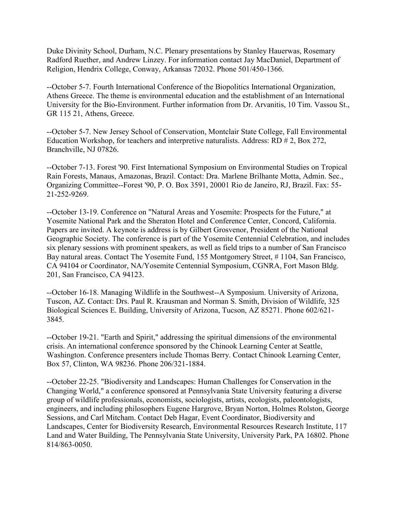Duke Divinity School, Durham, N.C. Plenary presentations by Stanley Hauerwas, Rosemary Radford Ruether, and Andrew Linzey. For information contact Jay MacDaniel, Department of Religion, Hendrix College, Conway, Arkansas 72032. Phone 501/450-1366.

--October 5-7. Fourth International Conference of the Biopolitics International Organization, Athens Greece. The theme is environmental education and the establishment of an International University for the Bio-Environment. Further information from Dr. Arvanitis, 10 Tim. Vassou St., GR 115 21, Athens, Greece.

--October 5-7. New Jersey School of Conservation, Montclair State College, Fall Environmental Education Workshop, for teachers and interpretive naturalists. Address: RD # 2, Box 272, Branchville, NJ 07826.

--October 7-13. Forest '90. First International Symposium on Environmental Studies on Tropical Rain Forests, Manaus, Amazonas, Brazil. Contact: Dra. Marlene Brilhante Motta, Admin. Sec., Organizing Committee--Forest '90, P. O. Box 3591, 20001 Rio de Janeiro, RJ, Brazil. Fax: 55- 21-252-9269.

--October 13-19. Conference on "Natural Areas and Yosemite: Prospects for the Future," at Yosemite National Park and the Sheraton Hotel and Conference Center, Concord, California. Papers are invited. A keynote is address is by Gilbert Grosvenor, President of the National Geographic Society. The conference is part of the Yosemite Centennial Celebration, and includes six plenary sessions with prominent speakers, as well as field trips to a number of San Francisco Bay natural areas. Contact The Yosemite Fund, 155 Montgomery Street, #1104, San Francisco, CA 94104 or Coordinator, NA/Yosemite Centennial Symposium, CGNRA, Fort Mason Bldg. 201, San Francisco, CA 94123.

--October 16-18. Managing Wildlife in the Southwest--A Symposium. University of Arizona, Tuscon, AZ. Contact: Drs. Paul R. Krausman and Norman S. Smith, Division of Wildlife, 325 Biological Sciences E. Building, University of Arizona, Tucson, AZ 85271. Phone 602/621- 3845.

--October 19-21. "Earth and Spirit," addressing the spiritual dimensions of the environmental crisis. An international conference sponsored by the Chinook Learning Center at Seattle, Washington. Conference presenters include Thomas Berry. Contact Chinook Learning Center, Box 57, Clinton, WA 98236. Phone 206/321-1884.

--October 22-25. "Biodiversity and Landscapes: Human Challenges for Conservation in the Changing World," a conference sponsored at Pennsylvania State University featuring a diverse group of wildlife professionals, economists, sociologists, artists, ecologists, paleontologists, engineers, and including philosophers Eugene Hargrove, Bryan Norton, Holmes Rolston, George Sessions, and Carl Mitcham. Contact Deb Hagar, Event Coordinator, Biodiversity and Landscapes, Center for Biodiversity Research, Environmental Resources Research Institute, 117 Land and Water Building, The Pennsylvania State University, University Park, PA 16802. Phone 814/863-0050.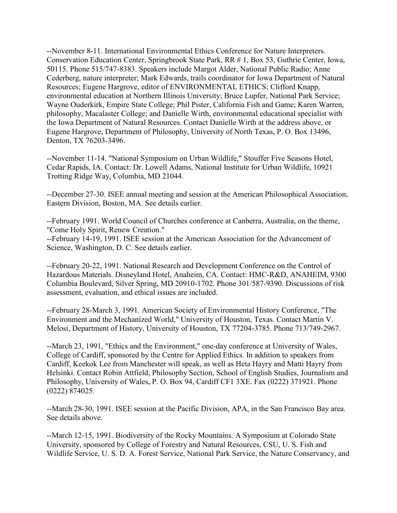--November 8-11. International Environmental Ethics Conference for Nature Interpreters. Conservation Education Center, Springbrook State Park, RR # 1, Box 53, Guthrie Center, Iowa, 50115. Phone 515/747-8383. Speakers include Margot Alder, National Public Radio; Anne Cederberg, nature interpreter; Mark Edwards, trails coordinator for Iowa Department of Natural Resources; Eugene Hargrove, editor of ENVIRONMENTAL ETHICS; Clifford Knapp, environmental education at Northern Illinois University; Bruce Lupfer, National Park Service; Wayne Ouderkirk, Empire State College; Phil Pister, California Fish and Game; Karen Warren, philosophy, Macalaster College; and Danielle Wirth, environmental educational specialist with the Iowa Department of Natural Resources. Contact Danielle Wirth at the address above, or Eugene Hargrove, Department of Philosophy, University of North Texas, P. O. Box 13496, Denton, TX 76203-3496.

--November 11-14. "National Symposium on Urban Wildlife," Stouffer Five Seasons Hotel, Cedar Rapids, IA. Contact: Dr. Lowell Adams, National Institute for Urban Wildlife, 10921 Trotting Ridge Way, Columbia, MD 21044.

--December 27-30. ISEE annual meeting and session at the American Philosophical Association, Eastern Division, Boston, MA. See details earlier.

--February 1991. World Council of Churches conference at Canberra, Australia, on the theme, "Come Holy Spirit, Renew Creation."

--February 14-19, 1991. ISEE session at the American Association for the Advancement of Science, Washington, D. C. See details earlier.

--February 20-22, 1991. National Research and Development Conference on the Control of Hazardous Materials. Disneyland Hotel, Anaheim, CA. Contact: HMC-R&D, ANAHEIM, 9300 Columbia Boulevard, Silver Spring, MD 20910-1702. Phone 301/587-9390. Discussions of risk assessment, evaluation, and ethical issues are included.

--February 28-March 3, 1991. American Society of Environmental History Conference, "The Environment and the Mechanized World," University of Houston, Texas. Contact Martin V. Melosi, Department of History, University of Houston, TX 77204-3785. Phone 713/749-2967.

--March 23, 1991, "Ethics and the Environment," one-day conference at University of Wales, College of Cardiff, sponsored by the Centre for Applied Ethics. In addition to speakers from Cardiff, Keekok Lee from Manchester will speak, as well as Heta Hayry and Matti Hayry from Helsinki. Contact Robin Attfield, Philosophy Section, School of English Studies, Journalism and Philosophy, University of Wales, P. O. Box 94, Cardiff CF1 3XE. Fax (0222) 371921. Phone (0222) 874025.

--March 28-30, 1991. ISEE session at the Pacific Division, APA, in the San Francisco Bay area. See details above.

--March 12-15, 1991. Biodiversity of the Rocky Mountains. A Symposium at Colorado State University, sponsored by College of Forestry and Natural Resources, CSU, U. S. Fish and Wildlife Service, U. S. D. A. Forest Service, National Park Service, the Nature Conservancy, and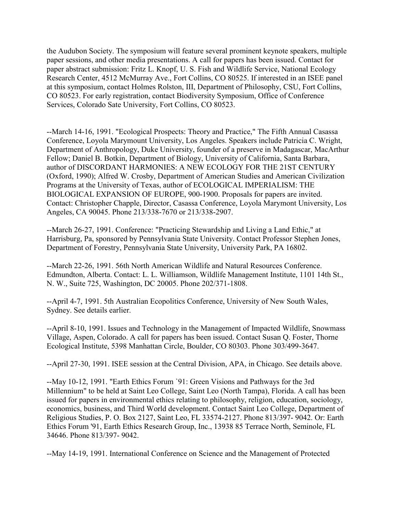the Audubon Society. The symposium will feature several prominent keynote speakers, multiple paper sessions, and other media presentations. A call for papers has been issued. Contact for paper abstract submission: Fritz L. Knopf, U. S. Fish and Wildlife Service, National Ecology Research Center, 4512 McMurray Ave., Fort Collins, CO 80525. If interested in an ISEE panel at this symposium, contact Holmes Rolston, III, Department of Philosophy, CSU, Fort Collins, CO 80523. For early registration, contact Biodiversity Symposium, Office of Conference Services, Colorado Sate University, Fort Collins, CO 80523.

--March 14-16, 1991. "Ecological Prospects: Theory and Practice," The Fifth Annual Casassa Conference, Loyola Marymount University, Los Angeles. Speakers include Patricia C. Wright, Department of Anthropology, Duke University, founder of a preserve in Madagascar, MacArthur Fellow; Daniel B. Botkin, Department of Biology, University of California, Santa Barbara, author of DISCORDANT HARMONIES: A NEW ECOLOGY FOR THE 21ST CENTURY (Oxford, 1990); Alfred W. Crosby, Department of American Studies and American Civilization Programs at the University of Texas, author of ECOLOGICAL IMPERIALISM: THE BIOLOGICAL EXPANSION OF EUROPE, 900-1900. Proposals for papers are invited. Contact: Christopher Chapple, Director, Casassa Conference, Loyola Marymont University, Los Angeles, CA 90045. Phone 213/338-7670 or 213/338-2907.

--March 26-27, 1991. Conference: "Practicing Stewardship and Living a Land Ethic," at Harrisburg, Pa, sponsored by Pennsylvania State University. Contact Professor Stephen Jones, Department of Forestry, Pennsylvania State University, University Park, PA 16802.

--March 22-26, 1991. 56th North American Wildlife and Natural Resources Conference. Edmundton, Alberta. Contact: L. L. Williamson, Wildlife Management Institute, 1101 14th St., N. W., Suite 725, Washington, DC 20005. Phone 202/371-1808.

--April 4-7, 1991. 5th Australian Ecopolitics Conference, University of New South Wales, Sydney. See details earlier.

--April 8-10, 1991. Issues and Technology in the Management of Impacted Wildlife, Snowmass Village, Aspen, Colorado. A call for papers has been issued. Contact Susan Q. Foster, Thorne Ecological Institute, 5398 Manhattan Circle, Boulder, CO 80303. Phone 303/499-3647.

--April 27-30, 1991. ISEE session at the Central Division, APA, in Chicago. See details above.

--May 10-12, 1991. "Earth Ethics Forum `91: Green Visions and Pathways for the 3rd Millennium" to be held at Saint Leo College, Saint Leo (North Tampa), Florida. A call has been issued for papers in environmental ethics relating to philosophy, religion, education, sociology, economics, business, and Third World development. Contact Saint Leo College, Department of Religious Studies, P. O. Box 2127, Saint Leo, FL 33574-2127. Phone 813/397- 9042. Or: Earth Ethics Forum '91, Earth Ethics Research Group, Inc., 13938 85 Terrace North, Seminole, FL 34646. Phone 813/397- 9042.

--May 14-19, 1991. International Conference on Science and the Management of Protected